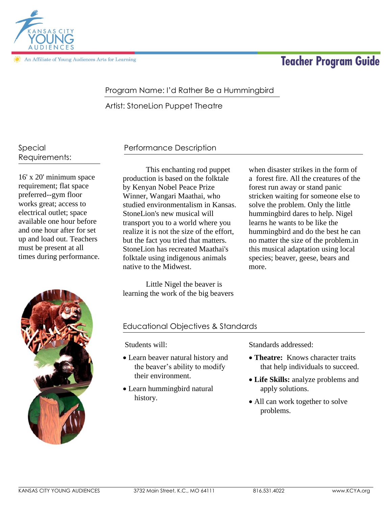

In Affiliate of Young Audiences Arts for Learning

# **Teacher Program Guide**

# Program Name: I'd Rather Be a Hummingbird

Artist: StoneLion Puppet Theatre

### Special Requirements:

16' x 20' minimum space requirement; flat space preferred--gym floor works great; access to electrical outlet; space available one hour before and one hour after for set up and load out. Teachers must be present at all times during performance.

# Performance Description

This enchanting rod puppet production is based on the folktale by Kenyan Nobel Peace Prize Winner, Wangari Maathai, who studied environmentalism in Kansas. StoneLion's new musical will transport you to a world where you realize it is not the size of the effort, but the fact you tried that matters. StoneLion has recreated Maathai's folktale using indigenous animals native to the Midwest.

Little Nigel the beaver is learning the work of the big beavers

when disaster strikes in the form of a forest fire. All the creatures of the forest run away or stand panic stricken waiting for someone else to solve the problem. Only the little hummingbird dares to help. Nigel learns he wants to be like the hummingbird and do the best he can no matter the size of the problem.in this musical adaptation using local species; beaver, geese, bears and more.



### Educational Objectives & Standards

Students will:

- Learn beaver natural history and the beaver's ability to modify their environment.
- Learn hummingbird natural history.

Standards addressed:

- **Theatre:** Knows character traits that help individuals to succeed.
- **Life Skills:** analyze problems and apply solutions.
- All can work together to solve problems.